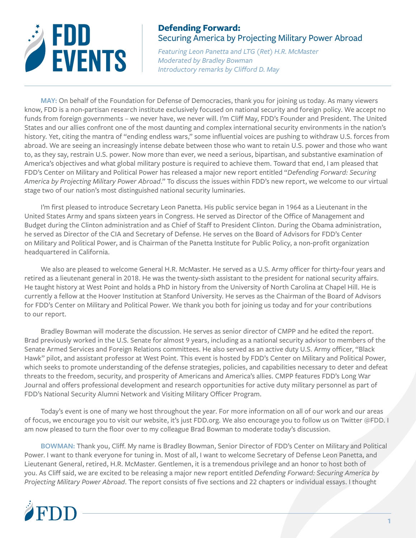

*Featuring Leon Panetta and LTG (Ret) H.R. McMaster Moderated by Bradley Bowman Introductory remarks by Clifford D. May*

**MAY:** On behalf of the Foundation for Defense of Democracies, thank you for joining us today. As many viewers know, FDD is a non-partisan research institute exclusively focused on national security and foreign policy. We accept no funds from foreign governments – we never have, we never will. I'm Cliff May, FDD's Founder and President. The United States and our allies confront one of the most daunting and complex international security environments in the nation's history. Yet, citing the mantra of "ending endless wars," some influential voices are pushing to withdraw U.S. forces from abroad. We are seeing an increasingly intense debate between those who want to retain U.S. power and those who want to, as they say, restrain U.S. power. Now more than ever, we need a serious, bipartisan, and substantive examination of America's objectives and what global military posture is required to achieve them. Toward that end, I am pleased that FDD's Center on Military and Political Power has released a major new report entitled "*Defending Forward: Securing America by Projecting Military Power Abroad*." To discuss the issues within FDD's new report, we welcome to our virtual stage two of our nation's most distinguished national security luminaries.

I'm first pleased to introduce Secretary Leon Panetta. His public service began in 1964 as a Lieutenant in the United States Army and spans sixteen years in Congress. He served as Director of the Office of Management and Budget during the Clinton administration and as Chief of Staff to President Clinton. During the Obama administration, he served as Director of the CIA and Secretary of Defense. He serves on the Board of Advisors for FDD's Center on Military and Political Power, and is Chairman of the Panetta Institute for Public Policy, a non-profit organization headquartered in California.

We also are pleased to welcome General H.R. McMaster. He served as a U.S. Army officer for thirty-four years and retired as a lieutenant general in 2018. He was the twenty-sixth assistant to the president for national security affairs. He taught history at West Point and holds a PhD in history from the University of North Carolina at Chapel Hill. He is currently a fellow at the Hoover Institution at Stanford University. He serves as the Chairman of the Board of Advisors for FDD's Center on Military and Political Power. We thank you both for joining us today and for your contributions to our report.

Bradley Bowman will moderate the discussion. He serves as senior director of CMPP and he edited the report. Brad previously worked in the U.S. Senate for almost 9 years, including as a national security advisor to members of the Senate Armed Services and Foreign Relations committees. He also served as an active duty U.S. Army officer, "Black Hawk" pilot, and assistant professor at West Point. This event is hosted by FDD's Center on Military and Political Power, which seeks to promote understanding of the defense strategies, policies, and capabilities necessary to deter and defeat threats to the freedom, security, and prosperity of Americans and America's allies. CMPP features FDD's Long War Journal and offers professional development and research opportunities for active duty military personnel as part of FDD's National Security Alumni Network and Visiting Military Officer Program.

Today's event is one of many we host throughout the year. For more information on all of our work and our areas of focus, we encourage you to visit our website, it's just FDD.org. We also encourage you to follow us on Twitter @FDD. I am now pleased to turn the floor over to my colleague Brad Bowman to moderate today's discussion.

**BOWMAN:** Thank you, Cliff. My name is Bradley Bowman, Senior Director of FDD's Center on Military and Political Power. I want to thank everyone for tuning in. Most of all, I want to welcome Secretary of Defense Leon Panetta, and Lieutenant General, retired, H.R. McMaster. Gentlemen, it is a tremendous privilege and an honor to host both of you. As Cliff said, we are excited to be releasing a major new report entitled *Defending Forward: Securing America by Projecting Military Power Abroad*. The report consists of five sections and 22 chapters or individual essays. I thought

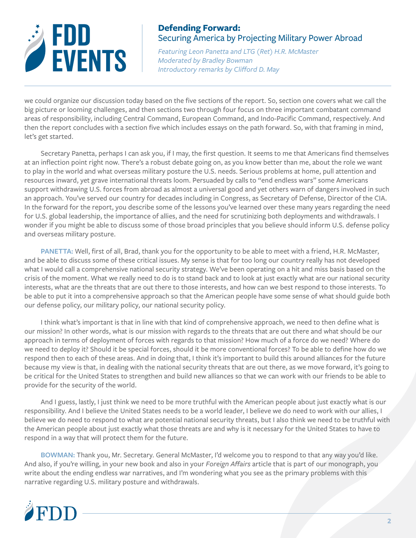

*Featuring Leon Panetta and LTG (Ret) H.R. McMaster Moderated by Bradley Bowman Introductory remarks by Clifford D. May*

we could organize our discussion today based on the five sections of the report. So, section one covers what we call the big picture or looming challenges, and then sections two through four focus on three important combatant command areas of responsibility, including Central Command, European Command, and Indo-Pacific Command, respectively. And then the report concludes with a section five which includes essays on the path forward. So, with that framing in mind, let's get started.

Secretary Panetta, perhaps I can ask you, if I may, the first question. It seems to me that Americans find themselves at an inflection point right now. There's a robust debate going on, as you know better than me, about the role we want to play in the world and what overseas military posture the U.S. needs. Serious problems at home, pull attention and resources inward, yet grave international threats loom. Persuaded by calls to "end endless wars" some Americans support withdrawing U.S. forces from abroad as almost a universal good and yet others warn of dangers involved in such an approach. You've served our country for decades including in Congress, as Secretary of Defense, Director of the CIA. In the forward for the report, you describe some of the lessons you've learned over these many years regarding the need for U.S. global leadership, the importance of allies, and the need for scrutinizing both deployments and withdrawals. I wonder if you might be able to discuss some of those broad principles that you believe should inform U.S. defense policy and overseas military posture.

**PANETTA:** Well, first of all, Brad, thank you for the opportunity to be able to meet with a friend, H.R. McMaster, and be able to discuss some of these critical issues. My sense is that for too long our country really has not developed what I would call a comprehensive national security strategy. We've been operating on a hit and miss basis based on the crisis of the moment. What we really need to do is to stand back and to look at just exactly what are our national security interests, what are the threats that are out there to those interests, and how can we best respond to those interests. To be able to put it into a comprehensive approach so that the American people have some sense of what should guide both our defense policy, our military policy, our national security policy.

I think what's important is that in line with that kind of comprehensive approach, we need to then define what is our mission? In other words, what is our mission with regards to the threats that are out there and what should be our approach in terms of deployment of forces with regards to that mission? How much of a force do we need? Where do we need to deploy it? Should it be special forces, should it be more conventional forces? To be able to define how do we respond then to each of these areas. And in doing that, I think it's important to build this around alliances for the future because my view is that, in dealing with the national security threats that are out there, as we move forward, it's going to be critical for the United States to strengthen and build new alliances so that we can work with our friends to be able to provide for the security of the world.

And I guess, lastly, I just think we need to be more truthful with the American people about just exactly what is our responsibility. And I believe the United States needs to be a world leader, I believe we do need to work with our allies, I believe we do need to respond to what are potential national security threats, but I also think we need to be truthful with the American people about just exactly what those threats are and why is it necessary for the United States to have to respond in a way that will protect them for the future.

**BOWMAN:** Thank you, Mr. Secretary. General McMaster, I'd welcome you to respond to that any way you'd like. And also, if you're willing, in your new book and also in your *Foreign Affairs* article that is part of our monograph, you write about the ending endless war narratives, and I'm wondering what you see as the primary problems with this narrative regarding U.S. military posture and withdrawals.

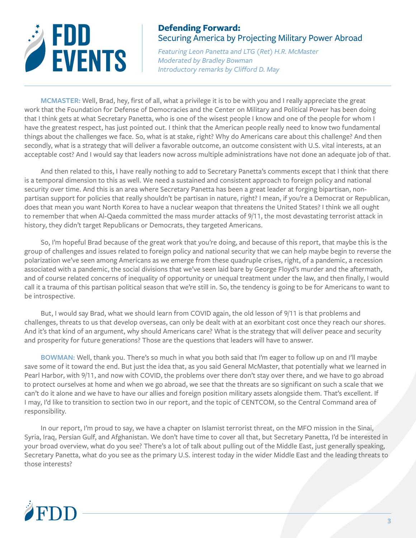

*Featuring Leon Panetta and LTG (Ret) H.R. McMaster Moderated by Bradley Bowman Introductory remarks by Clifford D. May*

**MCMASTER:** Well, Brad, hey, first of all, what a privilege it is to be with you and I really appreciate the great work that the Foundation for Defense of Democracies and the Center on Military and Political Power has been doing that I think gets at what Secretary Panetta, who is one of the wisest people I know and one of the people for whom I have the greatest respect, has just pointed out. I think that the American people really need to know two fundamental things about the challenges we face. So, what is at stake, right? Why do Americans care about this challenge? And then secondly, what is a strategy that will deliver a favorable outcome, an outcome consistent with U.S. vital interests, at an acceptable cost? And I would say that leaders now across multiple administrations have not done an adequate job of that.

And then related to this, I have really nothing to add to Secretary Panetta's comments except that I think that there is a temporal dimension to this as well. We need a sustained and consistent approach to foreign policy and national security over time. And this is an area where Secretary Panetta has been a great leader at forging bipartisan, nonpartisan support for policies that really shouldn't be partisan in nature, right? I mean, if you're a Democrat or Republican, does that mean you want North Korea to have a nuclear weapon that threatens the United States? I think we all ought to remember that when Al-Qaeda committed the mass murder attacks of 9/11, the most devastating terrorist attack in history, they didn't target Republicans or Democrats, they targeted Americans.

So, I'm hopeful Brad because of the great work that you're doing, and because of this report, that maybe this is the group of challenges and issues related to foreign policy and national security that we can help maybe begin to reverse the polarization we've seen among Americans as we emerge from these quadruple crises, right, of a pandemic, a recession associated with a pandemic, the social divisions that we've seen laid bare by George Floyd's murder and the aftermath, and of course related concerns of inequality of opportunity or unequal treatment under the law, and then finally, I would call it a trauma of this partisan political season that we're still in. So, the tendency is going to be for Americans to want to be introspective.

But, I would say Brad, what we should learn from COVID again, the old lesson of 9/11 is that problems and challenges, threats to us that develop overseas, can only be dealt with at an exorbitant cost once they reach our shores. And it's that kind of an argument, why should Americans care? What is the strategy that will deliver peace and security and prosperity for future generations? Those are the questions that leaders will have to answer.

**BOWMAN:** Well, thank you. There's so much in what you both said that I'm eager to follow up on and I'll maybe save some of it toward the end. But just the idea that, as you said General McMaster, that potentially what we learned in Pearl Harbor, with 9/11, and now with COVID, the problems over there don't stay over there, and we have to go abroad to protect ourselves at home and when we go abroad, we see that the threats are so significant on such a scale that we can't do it alone and we have to have our allies and foreign position military assets alongside them. That's excellent. If I may, I'd like to transition to section two in our report, and the topic of CENTCOM, so the Central Command area of responsibility.

In our report, I'm proud to say, we have a chapter on Islamist terrorist threat, on the MFO mission in the Sinai, Syria, Iraq, Persian Gulf, and Afghanistan. We don't have time to cover all that, but Secretary Panetta, I'd be interested in your broad overview, what do you see? There's a lot of talk about pulling out of the Middle East, just generally speaking, Secretary Panetta, what do you see as the primary U.S. interest today in the wider Middle East and the leading threats to those interests?

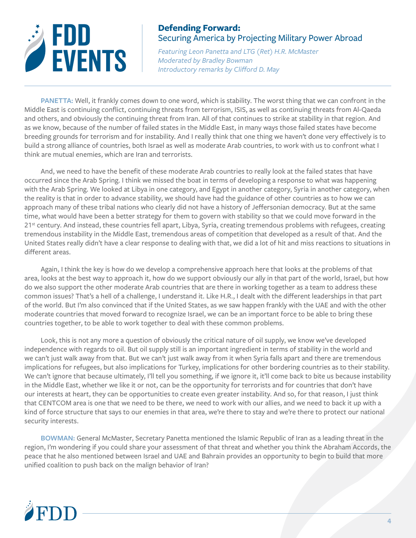

*Featuring Leon Panetta and LTG (Ret) H.R. McMaster Moderated by Bradley Bowman Introductory remarks by Clifford D. May*

**PANETTA:** Well, it frankly comes down to one word, which is stability. The worst thing that we can confront in the Middle East is continuing conflict, continuing threats from terrorism, ISIS, as well as continuing threats from Al-Qaeda and others, and obviously the continuing threat from Iran. All of that continues to strike at stability in that region. And as we know, because of the number of failed states in the Middle East, in many ways those failed states have become breeding grounds for terrorism and for instability. And I really think that one thing we haven't done very effectively is to build a strong alliance of countries, both Israel as well as moderate Arab countries, to work with us to confront what I think are mutual enemies, which are Iran and terrorists.

And, we need to have the benefit of these moderate Arab countries to really look at the failed states that have occurred since the Arab Spring. I think we missed the boat in terms of developing a response to what was happening with the Arab Spring. We looked at Libya in one category, and Egypt in another category, Syria in another category, when the reality is that in order to advance stability, we should have had the guidance of other countries as to how we can approach many of these tribal nations who clearly did not have a history of Jeffersonian democracy. But at the same time, what would have been a better strategy for them to govern with stability so that we could move forward in the 21<sup>st</sup> century. And instead, these countries fell apart, Libya, Syria, creating tremendous problems with refugees, creating tremendous instability in the Middle East, tremendous areas of competition that developed as a result of that. And the United States really didn't have a clear response to dealing with that, we did a lot of hit and miss reactions to situations in different areas.

Again, I think the key is how do we develop a comprehensive approach here that looks at the problems of that area, looks at the best way to approach it, how do we support obviously our ally in that part of the world, Israel, but how do we also support the other moderate Arab countries that are there in working together as a team to address these common issues? That's a hell of a challenge, I understand it. Like H.R., I dealt with the different leaderships in that part of the world. But I'm also convinced that if the United States, as we saw happen frankly with the UAE and with the other moderate countries that moved forward to recognize Israel, we can be an important force to be able to bring these countries together, to be able to work together to deal with these common problems.

Look, this is not any more a question of obviously the critical nature of oil supply, we know we've developed independence with regards to oil. But oil supply still is an important ingredient in terms of stability in the world and we can't just walk away from that. But we can't just walk away from it when Syria falls apart and there are tremendous implications for refugees, but also implications for Turkey, implications for other bordering countries as to their stability. We can't ignore that because ultimately, I'll tell you something, if we ignore it, it'll come back to bite us because instability in the Middle East, whether we like it or not, can be the opportunity for terrorists and for countries that don't have our interests at heart, they can be opportunities to create even greater instability. And so, for that reason, I just think that CENTCOM area is one that we need to be there, we need to work with our allies, and we need to back it up with a kind of force structure that says to our enemies in that area, we're there to stay and we're there to protect our national security interests.

**BOWMAN:** General McMaster, Secretary Panetta mentioned the Islamic Republic of Iran as a leading threat in the region, I'm wondering if you could share your assessment of that threat and whether you think the Abraham Accords, the peace that he also mentioned between Israel and UAE and Bahrain provides an opportunity to begin to build that more unified coalition to push back on the malign behavior of Iran?

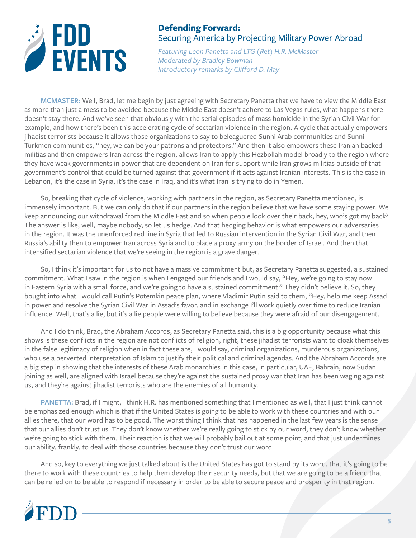

*Featuring Leon Panetta and LTG (Ret) H.R. McMaster Moderated by Bradley Bowman Introductory remarks by Clifford D. May*

**MCMASTER:** Well, Brad, let me begin by just agreeing with Secretary Panetta that we have to view the Middle East as more than just a mess to be avoided because the Middle East doesn't adhere to Las Vegas rules, what happens there doesn't stay there. And we've seen that obviously with the serial episodes of mass homicide in the Syrian Civil War for example, and how there's been this accelerating cycle of sectarian violence in the region. A cycle that actually empowers jihadist terrorists because it allows those organizations to say to beleaguered Sunni Arab communities and Sunni Turkmen communities, "hey, we can be your patrons and protectors." And then it also empowers these Iranian backed militias and then empowers Iran across the region, allows Iran to apply this Hezbollah model broadly to the region where they have weak governments in power that are dependent on Iran for support while Iran grows militias outside of that government's control that could be turned against that government if it acts against Iranian interests. This is the case in Lebanon, it's the case in Syria, it's the case in Iraq, and it's what Iran is trying to do in Yemen.

So, breaking that cycle of violence, working with partners in the region, as Secretary Panetta mentioned, is immensely important. But we can only do that if our partners in the region believe that we have some staying power. We keep announcing our withdrawal from the Middle East and so when people look over their back, hey, who's got my back? The answer is like, well, maybe nobody, so let us hedge. And that hedging behavior is what empowers our adversaries in the region. It was the unenforced red line in Syria that led to Russian intervention in the Syrian Civil War, and then Russia's ability then to empower Iran across Syria and to place a proxy army on the border of Israel. And then that intensified sectarian violence that we're seeing in the region is a grave danger.

So, I think it's important for us to not have a massive commitment but, as Secretary Panetta suggested, a sustained commitment. What I saw in the region is when I engaged our friends and I would say, "Hey, we're going to stay now in Eastern Syria with a small force, and we're going to have a sustained commitment." They didn't believe it. So, they bought into what I would call Putin's Potemkin peace plan, where Vladimir Putin said to them, "Hey, help me keep Assad in power and resolve the Syrian Civil War in Assad's favor, and in exchange I'll work quietly over time to reduce Iranian influence. Well, that's a lie, but it's a lie people were willing to believe because they were afraid of our disengagement.

And I do think, Brad, the Abraham Accords, as Secretary Panetta said, this is a big opportunity because what this shows is these conflicts in the region are not conflicts of religion, right, these jihadist terrorists want to cloak themselves in the false legitimacy of religion when in fact these are, I would say, criminal organizations, murderous organizations, who use a perverted interpretation of Islam to justify their political and criminal agendas. And the Abraham Accords are a big step in showing that the interests of these Arab monarchies in this case, in particular, UAE, Bahrain, now Sudan joining as well, are aligned with Israel because they're against the sustained proxy war that Iran has been waging against us, and they're against jihadist terrorists who are the enemies of all humanity.

**PANETTA:** Brad, if I might, I think H.R. has mentioned something that I mentioned as well, that I just think cannot be emphasized enough which is that if the United States is going to be able to work with these countries and with our allies there, that our word has to be good. The worst thing I think that has happened in the last few years is the sense that our allies don't trust us. They don't know whether we're really going to stick by our word, they don't know whether we're going to stick with them. Their reaction is that we will probably bail out at some point, and that just undermines our ability, frankly, to deal with those countries because they don't trust our word.

And so, key to everything we just talked about is the United States has got to stand by its word, that it's going to be there to work with these countries to help them develop their security needs, but that we are going to be a friend that can be relied on to be able to respond if necessary in order to be able to secure peace and prosperity in that region.

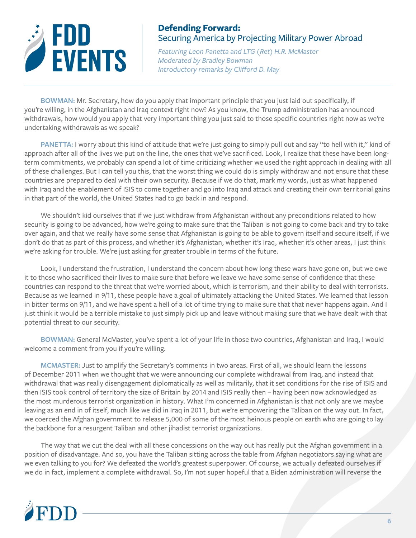

*Featuring Leon Panetta and LTG (Ret) H.R. McMaster Moderated by Bradley Bowman Introductory remarks by Clifford D. May*

**BOWMAN:** Mr. Secretary, how do you apply that important principle that you just laid out specifically, if you're willing, in the Afghanistan and Iraq context right now? As you know, the Trump administration has announced withdrawals, how would you apply that very important thing you just said to those specific countries right now as we're undertaking withdrawals as we speak?

PANETTA: I worry about this kind of attitude that we're just going to simply pull out and say "to hell with it," kind of approach after all of the lives we put on the line, the ones that we've sacrificed. Look, I realize that these have been longterm commitments, we probably can spend a lot of time criticizing whether we used the right approach in dealing with all of these challenges. But I can tell you this, that the worst thing we could do is simply withdraw and not ensure that these countries are prepared to deal with their own security. Because if we do that, mark my words, just as what happened with Iraq and the enablement of ISIS to come together and go into Iraq and attack and creating their own territorial gains in that part of the world, the United States had to go back in and respond.

We shouldn't kid ourselves that if we just withdraw from Afghanistan without any preconditions related to how security is going to be advanced, how we're going to make sure that the Taliban is not going to come back and try to take over again, and that we really have some sense that Afghanistan is going to be able to govern itself and secure itself, if we don't do that as part of this process, and whether it's Afghanistan, whether it's Iraq, whether it's other areas, I just think we're asking for trouble. We're just asking for greater trouble in terms of the future.

Look, I understand the frustration, I understand the concern about how long these wars have gone on, but we owe it to those who sacrificed their lives to make sure that before we leave we have some sense of confidence that these countries can respond to the threat that we're worried about, which is terrorism, and their ability to deal with terrorists. Because as we learned in 9/11, these people have a goal of ultimately attacking the United States. We learned that lesson in bitter terms on 9/11, and we have spent a hell of a lot of time trying to make sure that that never happens again. And I just think it would be a terrible mistake to just simply pick up and leave without making sure that we have dealt with that potential threat to our security.

**BOWMAN:** General McMaster, you've spent a lot of your life in those two countries, Afghanistan and Iraq, I would welcome a comment from you if you're willing.

**MCMASTER:** Just to amplify the Secretary's comments in two areas. First of all, we should learn the lessons of December 2011 when we thought that we were announcing our complete withdrawal from Iraq, and instead that withdrawal that was really disengagement diplomatically as well as militarily, that it set conditions for the rise of ISIS and then ISIS took control of territory the size of Britain by 2014 and ISIS really then – having been now acknowledged as the most murderous terrorist organization in history. What I'm concerned in Afghanistan is that not only are we maybe leaving as an end in of itself, much like we did in Iraq in 2011, but we're empowering the Taliban on the way out. In fact, we coerced the Afghan government to release 5,000 of some of the most heinous people on earth who are going to lay the backbone for a resurgent Taliban and other jihadist terrorist organizations.

The way that we cut the deal with all these concessions on the way out has really put the Afghan government in a position of disadvantage. And so, you have the Taliban sitting across the table from Afghan negotiators saying what are we even talking to you for? We defeated the world's greatest superpower. Of course, we actually defeated ourselves if we do in fact, implement a complete withdrawal. So, I'm not super hopeful that a Biden administration will reverse the

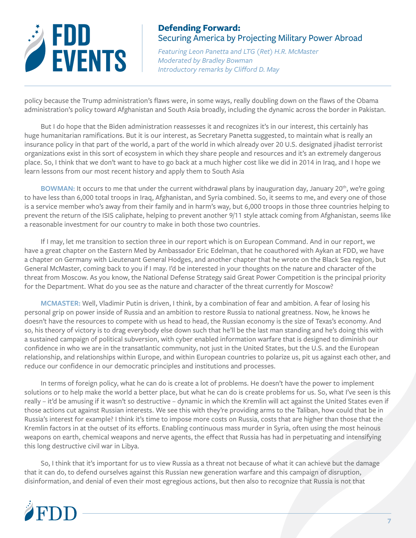

*Featuring Leon Panetta and LTG (Ret) H.R. McMaster Moderated by Bradley Bowman Introductory remarks by Clifford D. May*

policy because the Trump administration's flaws were, in some ways, really doubling down on the flaws of the Obama administration's policy toward Afghanistan and South Asia broadly, including the dynamic across the border in Pakistan.

But I do hope that the Biden administration reassesses it and recognizes it's in our interest, this certainly has huge humanitarian ramifications. But it is our interest, as Secretary Panetta suggested, to maintain what is really an insurance policy in that part of the world, a part of the world in which already over 20 U.S. designated jihadist terrorist organizations exist in this sort of ecosystem in which they share people and resources and it's an extremely dangerous place. So, I think that we don't want to have to go back at a much higher cost like we did in 2014 in Iraq, and I hope we learn lessons from our most recent history and apply them to South Asia

**BOWMAN:** It occurs to me that under the current withdrawal plans by inauguration day, January 20<sup>th</sup>, we're going to have less than 6,000 total troops in Iraq, Afghanistan, and Syria combined. So, it seems to me, and every one of those is a service member who's away from their family and in harm's way, but 6,000 troops in those three countries helping to prevent the return of the ISIS caliphate, helping to prevent another 9/11 style attack coming from Afghanistan, seems like a reasonable investment for our country to make in both those two countries.

If I may, let me transition to section three in our report which is on European Command. And in our report, we have a great chapter on the Eastern Med by Ambassador Eric Edelman, that he coauthored with Aykan at FDD, we have a chapter on Germany with Lieutenant General Hodges, and another chapter that he wrote on the Black Sea region, but General McMaster, coming back to you if I may. I'd be interested in your thoughts on the nature and character of the threat from Moscow. As you know, the National Defense Strategy said Great Power Competition is the principal priority for the Department. What do you see as the nature and character of the threat currently for Moscow?

**MCMASTER:** Well, Vladimir Putin is driven, I think, by a combination of fear and ambition. A fear of losing his personal grip on power inside of Russia and an ambition to restore Russia to national greatness. Now, he knows he doesn't have the resources to compete with us head to head, the Russian economy is the size of Texas's economy. And so, his theory of victory is to drag everybody else down such that he'll be the last man standing and he's doing this with a sustained campaign of political subversion, with cyber enabled information warfare that is designed to diminish our confidence in who we are in the transatlantic community, not just in the United States, but the U.S. and the European relationship, and relationships within Europe, and within European countries to polarize us, pit us against each other, and reduce our confidence in our democratic principles and institutions and processes.

In terms of foreign policy, what he can do is create a lot of problems. He doesn't have the power to implement solutions or to help make the world a better place, but what he can do is create problems for us. So, what I've seen is this really – it'd be amusing if it wasn't so destructive – dynamic in which the Kremlin will act against the United States even if those actions cut against Russian interests. We see this with they're providing arms to the Taliban, how could that be in Russia's interest for example? I think it's time to impose more costs on Russia, costs that are higher than those that the Kremlin factors in at the outset of its efforts. Enabling continuous mass murder in Syria, often using the most heinous weapons on earth, chemical weapons and nerve agents, the effect that Russia has had in perpetuating and intensifying this long destructive civil war in Libya.

So, I think that it's important for us to view Russia as a threat not because of what it can achieve but the damage that it can do, to defend ourselves against this Russian new generation warfare and this campaign of disruption, disinformation, and denial of even their most egregious actions, but then also to recognize that Russia is not that

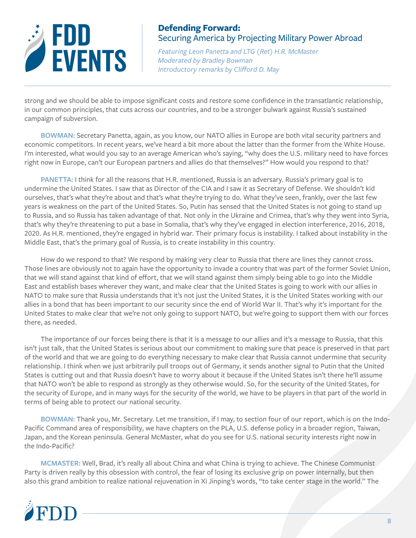

*Featuring Leon Panetta and LTG (Ret) H.R. McMaster Moderated by Bradley Bowman Introductory remarks by Clifford D. May*

strong and we should be able to impose significant costs and restore some confidence in the transatlantic relationship, in our common principles, that cuts across our countries, and to be a stronger bulwark against Russia's sustained campaign of subversion.

**BOWMAN:** Secretary Panetta, again, as you know, our NATO allies in Europe are both vital security partners and economic competitors. In recent years, we've heard a bit more about the latter than the former from the White House. I'm interested, what would you say to an average American who's saying, "why does the U.S. military need to have forces right now in Europe, can't our European partners and allies do that themselves?" How would you respond to that?

**PANETTA:** I think for all the reasons that H.R. mentioned, Russia is an adversary. Russia's primary goal is to undermine the United States. I saw that as Director of the CIA and I saw it as Secretary of Defense. We shouldn't kid ourselves, that's what they're about and that's what they're trying to do. What they've seen, frankly, over the last few years is weakness on the part of the United States. So, Putin has sensed that the United States is not going to stand up to Russia, and so Russia has taken advantage of that. Not only in the Ukraine and Crimea, that's why they went into Syria, that's why they're threatening to put a base in Somalia, that's why they've engaged in election interference, 2016, 2018, 2020. As H.R. mentioned, they're engaged in hybrid war. Their primary focus is instability. I talked about instability in the Middle East, that's the primary goal of Russia, is to create instability in this country.

How do we respond to that? We respond by making very clear to Russia that there are lines they cannot cross. Those lines are obviously not to again have the opportunity to invade a country that was part of the former Soviet Union, that we will stand against that kind of effort, that we will stand against them simply being able to go into the Middle East and establish bases wherever they want, and make clear that the United States is going to work with our allies in NATO to make sure that Russia understands that it's not just the United States, it is the United States working with our allies in a bond that has been important to our security since the end of World War II. That's why it's important for the United States to make clear that we're not only going to support NATO, but we're going to support them with our forces there, as needed.

The importance of our forces being there is that it is a message to our allies and it's a message to Russia, that this isn't just talk, that the United States is serious about our commitment to making sure that peace is preserved in that part of the world and that we are going to do everything necessary to make clear that Russia cannot undermine that security relationship. I think when we just arbitrarily pull troops out of Germany, it sends another signal to Putin that the United States is cutting out and that Russia doesn't have to worry about it because if the United States isn't there he'll assume that NATO won't be able to respond as strongly as they otherwise would. So, for the security of the United States, for the security of Europe, and in many ways for the security of the world, we have to be players in that part of the world in terms of being able to protect our national security.

**BOWMAN:** Thank you, Mr. Secretary. Let me transition, if I may, to section four of our report, which is on the Indo-Pacific Command area of responsibility, we have chapters on the PLA, U.S. defense policy in a broader region, Taiwan, Japan, and the Korean peninsula. General McMaster, what do you see for U.S. national security interests right now in the Indo-Pacific?

**MCMASTER:** Well, Brad, it's really all about China and what China is trying to achieve. The Chinese Communist Party is driven really by this obsession with control, the fear of losing its exclusive grip on power internally, but then also this grand ambition to realize national rejuvenation in Xi Jinping's words, "to take center stage in the world." The

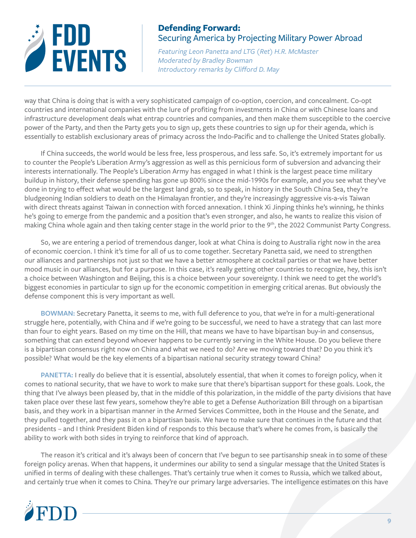

*Featuring Leon Panetta and LTG (Ret) H.R. McMaster Moderated by Bradley Bowman Introductory remarks by Clifford D. May*

way that China is doing that is with a very sophisticated campaign of co-option, coercion, and concealment. Co-opt countries and international companies with the lure of profiting from investments in China or with Chinese loans and infrastructure development deals what entrap countries and companies, and then make them susceptible to the coercive power of the Party, and then the Party gets you to sign up, gets these countries to sign up for their agenda, which is essentially to establish exclusionary areas of primacy across the Indo-Pacific and to challenge the United States globally.

If China succeeds, the world would be less free, less prosperous, and less safe. So, it's extremely important for us to counter the People's Liberation Army's aggression as well as this pernicious form of subversion and advancing their interests internationally. The People's Liberation Army has engaged in what I think is the largest peace time military buildup in history, their defense spending has gone up 800% since the mid-1990s for example, and you see what they've done in trying to effect what would be the largest land grab, so to speak, in history in the South China Sea, they're bludgeoning Indian soldiers to death on the Himalayan frontier, and they're increasingly aggressive vis-a-vis Taiwan with direct threats against Taiwan in connection with forced annexation. I think Xi Jinping thinks he's winning, he thinks he's going to emerge from the pandemic and a position that's even stronger, and also, he wants to realize this vision of making China whole again and then taking center stage in the world prior to the 9<sup>th</sup>, the 2022 Communist Party Congress.

So, we are entering a period of tremendous danger, look at what China is doing to Australia right now in the area of economic coercion. I think it's time for all of us to come together. Secretary Panetta said, we need to strengthen our alliances and partnerships not just so that we have a better atmosphere at cocktail parties or that we have better mood music in our alliances, but for a purpose. In this case, it's really getting other countries to recognize, hey, this isn't a choice between Washington and Beijing, this is a choice between your sovereignty. I think we need to get the world's biggest economies in particular to sign up for the economic competition in emerging critical arenas. But obviously the defense component this is very important as well.

**BOWMAN:** Secretary Panetta, it seems to me, with full deference to you, that we're in for a multi-generational struggle here, potentially, with China and if we're going to be successful, we need to have a strategy that can last more than four to eight years. Based on my time on the Hill, that means we have to have bipartisan buy-in and consensus, something that can extend beyond whoever happens to be currently serving in the White House. Do you believe there is a bipartisan consensus right now on China and what we need to do? Are we moving toward that? Do you think it's possible? What would be the key elements of a bipartisan national security strategy toward China?

PANETTA: I really do believe that it is essential, absolutely essential, that when it comes to foreign policy, when it comes to national security, that we have to work to make sure that there's bipartisan support for these goals. Look, the thing that I've always been pleased by, that in the middle of this polarization, in the middle of the party divisions that have taken place over these last few years, somehow they're able to get a Defense Authorization Bill through on a bipartisan basis, and they work in a bipartisan manner in the Armed Services Committee, both in the House and the Senate, and they pulled together, and they pass it on a bipartisan basis. We have to make sure that continues in the future and that presidents – and I think President Biden kind of responds to this because that's where he comes from, is basically the ability to work with both sides in trying to reinforce that kind of approach.

The reason it's critical and it's always been of concern that I've begun to see partisanship sneak in to some of these foreign policy arenas. When that happens, it undermines our ability to send a singular message that the United States is unified in terms of dealing with these challenges. That's certainly true when it comes to Russia, which we talked about, and certainly true when it comes to China. They're our primary large adversaries. The intelligence estimates on this have

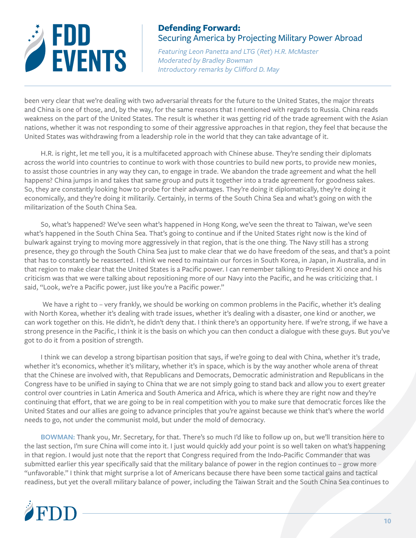

*Featuring Leon Panetta and LTG (Ret) H.R. McMaster Moderated by Bradley Bowman Introductory remarks by Clifford D. May*

been very clear that we're dealing with two adversarial threats for the future to the United States, the major threats and China is one of those, and, by the way, for the same reasons that I mentioned with regards to Russia. China reads weakness on the part of the United States. The result is whether it was getting rid of the trade agreement with the Asian nations, whether it was not responding to some of their aggressive approaches in that region, they feel that because the United States was withdrawing from a leadership role in the world that they can take advantage of it.

H.R. is right, let me tell you, it is a multifaceted approach with Chinese abuse. They're sending their diplomats across the world into countries to continue to work with those countries to build new ports, to provide new monies, to assist those countries in any way they can, to engage in trade. We abandon the trade agreement and what the hell happens? China jumps in and takes that same group and puts it together into a trade agreement for goodness sakes. So, they are constantly looking how to probe for their advantages. They're doing it diplomatically, they're doing it economically, and they're doing it militarily. Certainly, in terms of the South China Sea and what's going on with the militarization of the South China Sea.

So, what's happened? We've seen what's happened in Hong Kong, we've seen the threat to Taiwan, we've seen what's happened in the South China Sea. That's going to continue and if the United States right now is the kind of bulwark against trying to moving more aggressively in that region, that is the one thing. The Navy still has a strong presence, they go through the South China Sea just to make clear that we do have freedom of the seas, and that's a point that has to constantly be reasserted. I think we need to maintain our forces in South Korea, in Japan, in Australia, and in that region to make clear that the United States is a Pacific power. I can remember talking to President Xi once and his criticism was that we were talking about repositioning more of our Navy into the Pacific, and he was criticizing that. I said, "Look, we're a Pacific power, just like you're a Pacific power."

We have a right to - very frankly, we should be working on common problems in the Pacific, whether it's dealing with North Korea, whether it's dealing with trade issues, whether it's dealing with a disaster, one kind or another, we can work together on this. He didn't, he didn't deny that. I think there's an opportunity here. If we're strong, if we have a strong presence in the Pacific, I think it is the basis on which you can then conduct a dialogue with these guys. But you've got to do it from a position of strength.

I think we can develop a strong bipartisan position that says, if we're going to deal with China, whether it's trade, whether it's economics, whether it's military, whether it's in space, which is by the way another whole arena of threat that the Chinese are involved with, that Republicans and Democrats, Democratic administration and Republicans in the Congress have to be unified in saying to China that we are not simply going to stand back and allow you to exert greater control over countries in Latin America and South America and Africa, which is where they are right now and they're continuing that effort, that we are going to be in real competition with you to make sure that democratic forces like the United States and our allies are going to advance principles that you're against because we think that's where the world needs to go, not under the communist mold, but under the mold of democracy.

**BOWMAN:** Thank you, Mr. Secretary, for that. There's so much I'd like to follow up on, but we'll transition here to the last section, I'm sure China will come into it. I just would quickly add your point is so well taken on what's happening in that region. I would just note that the report that Congress required from the Indo-Pacific Commander that was submitted earlier this year specifically said that the military balance of power in the region continues to – grow more "unfavorable." I think that might surprise a lot of Americans because there have been some tactical gains and tactical readiness, but yet the overall military balance of power, including the Taiwan Strait and the South China Sea continues to

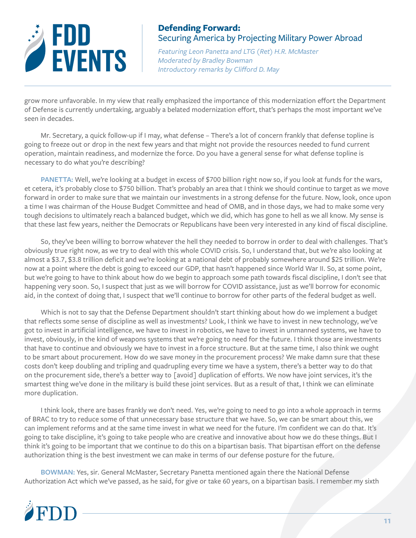

*Featuring Leon Panetta and LTG (Ret) H.R. McMaster Moderated by Bradley Bowman Introductory remarks by Clifford D. May*

grow more unfavorable. In my view that really emphasized the importance of this modernization effort the Department of Defense is currently undertaking, arguably a belated modernization effort, that's perhaps the most important we've seen in decades.

Mr. Secretary, a quick follow-up if I may, what defense – There's a lot of concern frankly that defense topline is going to freeze out or drop in the next few years and that might not provide the resources needed to fund current operation, maintain readiness, and modernize the force. Do you have a general sense for what defense topline is necessary to do what you're describing?

**PANETTA:** Well, we're looking at a budget in excess of \$700 billion right now so, if you look at funds for the wars, et cetera, it's probably close to \$750 billion. That's probably an area that I think we should continue to target as we move forward in order to make sure that we maintain our investments in a strong defense for the future. Now, look, once upon a time I was chairman of the House Budget Committee and head of OMB, and in those days, we had to make some very tough decisions to ultimately reach a balanced budget, which we did, which has gone to hell as we all know. My sense is that these last few years, neither the Democrats or Republicans have been very interested in any kind of fiscal discipline.

So, they've been willing to borrow whatever the hell they needed to borrow in order to deal with challenges. That's obviously true right now, as we try to deal with this whole COVID crisis. So, I understand that, but we're also looking at almost a \$3.7, \$3.8 trillion deficit and we're looking at a national debt of probably somewhere around \$25 trillion. We're now at a point where the debt is going to exceed our GDP, that hasn't happened since World War II. So, at some point, but we're going to have to think about how do we begin to approach some path towards fiscal discipline, I don't see that happening very soon. So, I suspect that just as we will borrow for COVID assistance, just as we'll borrow for economic aid, in the context of doing that, I suspect that we'll continue to borrow for other parts of the federal budget as well.

Which is not to say that the Defense Department shouldn't start thinking about how do we implement a budget that reflects some sense of discipline as well as investments? Look, I think we have to invest in new technology, we've got to invest in artificial intelligence, we have to invest in robotics, we have to invest in unmanned systems, we have to invest, obviously, in the kind of weapons systems that we're going to need for the future. I think those are investments that have to continue and obviously we have to invest in a force structure. But at the same time, I also think we ought to be smart about procurement. How do we save money in the procurement process? We make damn sure that these costs don't keep doubling and tripling and quadrupling every time we have a system, there's a better way to do that on the procurement side, there's a better way to [avoid] duplication of efforts. We now have joint services, it's the smartest thing we've done in the military is build these joint services. But as a result of that, I think we can eliminate more duplication.

I think look, there are bases frankly we don't need. Yes, we're going to need to go into a whole approach in terms of BRAC to try to reduce some of that unnecessary base structure that we have. So, we can be smart about this, we can implement reforms and at the same time invest in what we need for the future. I'm confident we can do that. It's going to take discipline, it's going to take people who are creative and innovative about how we do these things. But I think it's going to be important that we continue to do this on a bipartisan basis. That bipartisan effort on the defense authorization thing is the best investment we can make in terms of our defense posture for the future.

**BOWMAN:** Yes, sir. General McMaster, Secretary Panetta mentioned again there the National Defense Authorization Act which we've passed, as he said, for give or take 60 years, on a bipartisan basis. I remember my sixth

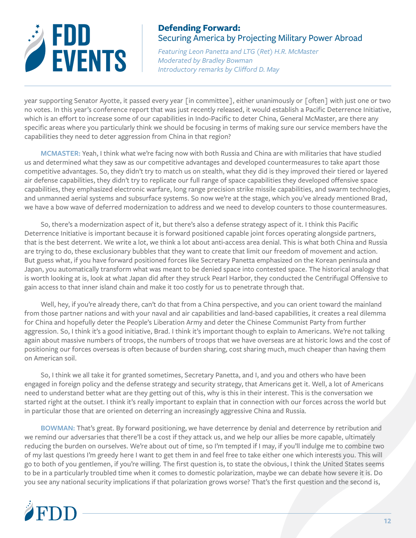

*Featuring Leon Panetta and LTG (Ret) H.R. McMaster Moderated by Bradley Bowman Introductory remarks by Clifford D. May*

year supporting Senator Ayotte, it passed every year [in committee], either unanimously or [often] with just one or two no votes. In this year's conference report that was just recently released, it would establish a Pacific Deterrence Initiative, which is an effort to increase some of our capabilities in Indo-Pacific to deter China, General McMaster, are there any specific areas where you particularly think we should be focusing in terms of making sure our service members have the capabilities they need to deter aggression from China in that region?

**MCMASTER:** Yeah, I think what we're facing now with both Russia and China are with militaries that have studied us and determined what they saw as our competitive advantages and developed countermeasures to take apart those competitive advantages. So, they didn't try to match us on stealth, what they did is they improved their tiered or layered air defense capabilities, they didn't try to replicate our full range of space capabilities they developed offensive space capabilities, they emphasized electronic warfare, long range precision strike missile capabilities, and swarm technologies, and unmanned aerial systems and subsurface systems. So now we're at the stage, which you've already mentioned Brad, we have a bow wave of deferred modernization to address and we need to develop counters to those countermeasures.

So, there's a modernization aspect of it, but there's also a defense strategy aspect of it. I think this Pacific Deterrence Initiative is important because it is forward positioned capable joint forces operating alongside partners, that is the best deterrent. We write a lot, we think a lot about anti-access area denial. This is what both China and Russia are trying to do, these exclusionary bubbles that they want to create that limit our freedom of movement and action. But guess what, if you have forward positioned forces like Secretary Panetta emphasized on the Korean peninsula and Japan, you automatically transform what was meant to be denied space into contested space. The historical analogy that is worth looking at is, look at what Japan did after they struck Pearl Harbor, they conducted the Centrifugal Offensive to gain access to that inner island chain and make it too costly for us to penetrate through that.

Well, hey, if you're already there, can't do that from a China perspective, and you can orient toward the mainland from those partner nations and with your naval and air capabilities and land-based capabilities, it creates a real dilemma for China and hopefully deter the People's Liberation Army and deter the Chinese Communist Party from further aggression. So, I think it's a good initiative, Brad. I think it's important though to explain to Americans. We're not talking again about massive numbers of troops, the numbers of troops that we have overseas are at historic lows and the cost of positioning our forces overseas is often because of burden sharing, cost sharing much, much cheaper than having them on American soil.

So, I think we all take it for granted sometimes, Secretary Panetta, and I, and you and others who have been engaged in foreign policy and the defense strategy and security strategy, that Americans get it. Well, a lot of Americans need to understand better what are they getting out of this, why is this in their interest. This is the conversation we started right at the outset. I think it's really important to explain that in connection with our forces across the world but in particular those that are oriented on deterring an increasingly aggressive China and Russia.

**BOWMAN:** That's great. By forward positioning, we have deterrence by denial and deterrence by retribution and we remind our adversaries that there'll be a cost if they attack us, and we help our allies be more capable, ultimately reducing the burden on ourselves. We're about out of time, so I'm tempted if I may, if you'll indulge me to combine two of my last questions I'm greedy here I want to get them in and feel free to take either one which interests you. This will go to both of you gentlemen, if you're willing. The first question is, to state the obvious, I think the United States seems to be in a particularly troubled time when it comes to domestic polarization, maybe we can debate how severe it is. Do you see any national security implications if that polarization grows worse? That's the first question and the second is,

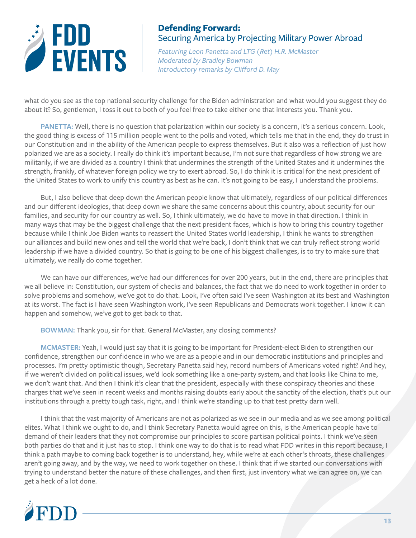

*Featuring Leon Panetta and LTG (Ret) H.R. McMaster Moderated by Bradley Bowman Introductory remarks by Clifford D. May*

what do you see as the top national security challenge for the Biden administration and what would you suggest they do about it? So, gentlemen, I toss it out to both of you feel free to take either one that interests you. Thank you.

PANETTA: Well, there is no question that polarization within our society is a concern, it's a serious concern. Look, the good thing is excess of 115 million people went to the polls and voted, which tells me that in the end, they do trust in our Constitution and in the ability of the American people to express themselves. But it also was a reflection of just how polarized we are as a society. I really do think it's important because, I'm not sure that regardless of how strong we are militarily, if we are divided as a country I think that undermines the strength of the United States and it undermines the strength, frankly, of whatever foreign policy we try to exert abroad. So, I do think it is critical for the next president of the United States to work to unify this country as best as he can. It's not going to be easy, I understand the problems.

But, I also believe that deep down the American people know that ultimately, regardless of our political differences and our different ideologies, that deep down we share the same concerns about this country, about security for our families, and security for our country as well. So, I think ultimately, we do have to move in that direction. I think in many ways that may be the biggest challenge that the next president faces, which is how to bring this country together because while I think Joe Biden wants to reassert the United States world leadership, I think he wants to strengthen our alliances and build new ones and tell the world that we're back, I don't think that we can truly reflect strong world leadership if we have a divided country. So that is going to be one of his biggest challenges, is to try to make sure that ultimately, we really do come together.

We can have our differences, we've had our differences for over 200 years, but in the end, there are principles that we all believe in: Constitution, our system of checks and balances, the fact that we do need to work together in order to solve problems and somehow, we've got to do that. Look, I've often said I've seen Washington at its best and Washington at its worst. The fact is I have seen Washington work, I've seen Republicans and Democrats work together. I know it can happen and somehow, we've got to get back to that.

**BOWMAN:** Thank you, sir for that. General McMaster, any closing comments?

**MCMASTER:** Yeah, I would just say that it is going to be important for President-elect Biden to strengthen our confidence, strengthen our confidence in who we are as a people and in our democratic institutions and principles and processes. I'm pretty optimistic though, Secretary Panetta said hey, record numbers of Americans voted right? And hey, if we weren't divided on political issues, we'd look something like a one-party system, and that looks like China to me, we don't want that. And then I think it's clear that the president, especially with these conspiracy theories and these charges that we've seen in recent weeks and months raising doubts early about the sanctity of the election, that's put our institutions through a pretty tough task, right, and I think we're standing up to that test pretty darn well.

I think that the vast majority of Americans are not as polarized as we see in our media and as we see among political elites. What I think we ought to do, and I think Secretary Panetta would agree on this, is the American people have to demand of their leaders that they not compromise our principles to score partisan political points. I think we've seen both parties do that and it just has to stop. I think one way to do that is to read what FDD writes in this report because, I think a path maybe to coming back together is to understand, hey, while we're at each other's throats, these challenges aren't going away, and by the way, we need to work together on these. I think that if we started our conversations with trying to understand better the nature of these challenges, and then first, just inventory what we can agree on, we can get a heck of a lot done.